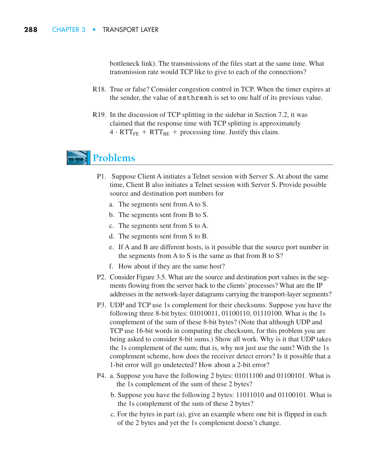bottleneck link). The transmissions of the files start at the same time. What transmission rate would TCP like to give to each of the connections?

- R18. True or false? Consider congestion control in TCP. When the timer expires at the sender, the value of ssthresh is set to one half of its previous value.
- R19. In the discussion of TCP splitting in the sidebar in Section 7.2, it was claimed that the response time with TCP splitting is approximately  $4 \cdot RTT_{FE} + RTT_{BE} + \text{processing time}$ . Justify this claim.  $4 \cdot RTT_{FE} + RTT_{BE} + \text{processing time. Justify this claim.}$

## **Problems**

- P1. Suppose Client A initiates a Telnet session with Server S. At about the same time, Client B also initiates a Telnet session with Server S. Provide possible source and destination port numbers for
	- a. The segments sent from A to S.
	- b. The segments sent from B to S.
	- c. The segments sent from S to A.
	- d. The segments sent from S to B.
	- e. If A and B are different hosts, is it possible that the source port number in the segments from A to S is the same as that from B to S?
	- f. How about if they are the same host?
- P2. Consider Figure 3.5. What are the source and destination port values in the segments flowing from the server back to the clients' processes? What are the IP addresses in the network-layer datagrams carrying the transport-layer segments?
- P3. UDP and TCP use 1s complement for their checksums. Suppose you have the following three 8-bit bytes: 01010011, 01100110, 01110100. What is the 1s complement of the sum of these 8-bit bytes? (Note that although UDP and TCP use 16-bit words in computing the checksum, for this problem you are being asked to consider 8-bit sums.) Show all work. Why is it that UDP takes the 1s complement of the sum; that is, why not just use the sum? With the 1s complement scheme, how does the receiver detect errors? Is it possible that a 1-bit error will go undetected? How about a 2-bit error?
- P4. a. Suppose you have the following 2 bytes: 01011100 and 01100101. What is the 1s complement of the sum of these 2 bytes?
	- b. Suppose you have the following 2 bytes: 11011010 and 01100101. What is the 1s complement of the sum of these 2 bytes?
	- c. For the bytes in part (a), give an example where one bit is flipped in each of the 2 bytes and yet the 1s complement doesn't change.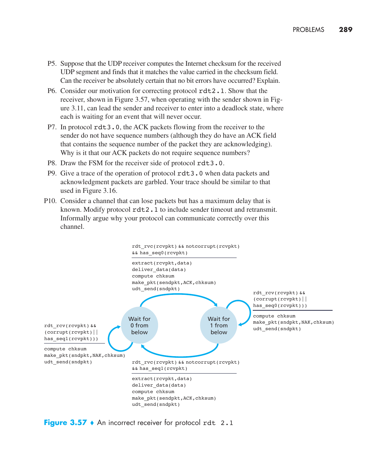- P5. Suppose that the UDP receiver computes the Internet checksum for the received UDP segment and finds that it matches the value carried in the checksum field. Can the receiver be absolutely certain that no bit errors have occurred? Explain.
- P6. Consider our motivation for correcting protocol rdt2.1. Show that the receiver, shown in Figure 3.57, when operating with the sender shown in Figure 3.11, can lead the sender and receiver to enter into a deadlock state, where each is waiting for an event that will never occur.
- P7. In protocol rdt3.0, the ACK packets flowing from the receiver to the sender do not have sequence numbers (although they do have an ACK field that contains the sequence number of the packet they are acknowledging). Why is it that our ACK packets do not require sequence numbers?
- P8. Draw the FSM for the receiver side of protocol rdt3.0.
- P9. Give a trace of the operation of protocol rdt3.0 when data packets and acknowledgment packets are garbled. Your trace should be similar to that used in Figure 3.16.
- P10. Consider a channel that can lose packets but has a maximum delay that is known. Modify protocol rdt2.1 to include sender timeout and retransmit. Informally argue why your protocol can communicate correctly over this channel.



**Figure 3.57**  $\bullet$  An incorrect receiver for protocol rdt 2.1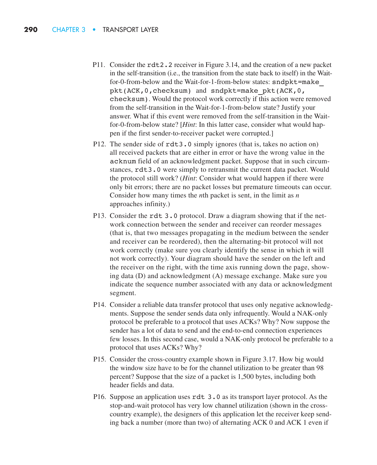- P11. Consider the rdt2.2 receiver in Figure 3.14, and the creation of a new packet in the self-transition (i.e., the transition from the state back to itself) in the Waitfor-0-from-below and the Wait-for-1-from-below states: sndpkt=make\_ pkt(ACK,0,checksum) and sndpkt=make\_pkt(ACK,0, checksum). Would the protocol work correctly if this action were removed from the self-transition in the Wait-for-1-from-below state? Justify your answer. What if this event were removed from the self-transition in the Waitfor-0-from-below state? [*Hint*: In this latter case, consider what would happen if the first sender-to-receiver packet were corrupted.]
- P12. The sender side of  $rdt3.0$  simply ignores (that is, takes no action on) all received packets that are either in error or have the wrong value in the acknum field of an acknowledgment packet. Suppose that in such circumstances, rdt3.0 were simply to retransmit the current data packet. Would the protocol still work? (*Hint*: Consider what would happen if there were only bit errors; there are no packet losses but premature timeouts can occur. Consider how many times the *n*th packet is sent, in the limit as *n* approaches infinity.)
- P13. Consider the rdt 3.0 protocol. Draw a diagram showing that if the network connection between the sender and receiver can reorder messages (that is, that two messages propagating in the medium between the sender and receiver can be reordered), then the alternating-bit protocol will not work correctly (make sure you clearly identify the sense in which it will not work correctly). Your diagram should have the sender on the left and the receiver on the right, with the time axis running down the page, showing data (D) and acknowledgment (A) message exchange. Make sure you indicate the sequence number associated with any data or acknowledgment segment.
- P14. Consider a reliable data transfer protocol that uses only negative acknowledgments. Suppose the sender sends data only infrequently. Would a NAK-only protocol be preferable to a protocol that uses ACKs? Why? Now suppose the sender has a lot of data to send and the end-to-end connection experiences few losses. In this second case, would a NAK-only protocol be preferable to a protocol that uses ACKs? Why?
- P15. Consider the cross-country example shown in Figure 3.17. How big would the window size have to be for the channel utilization to be greater than 98 percent? Suppose that the size of a packet is 1,500 bytes, including both header fields and data.
- P16. Suppose an application uses rdt 3.0 as its transport layer protocol. As the stop-and-wait protocol has very low channel utilization (shown in the crosscountry example), the designers of this application let the receiver keep sending back a number (more than two) of alternating ACK 0 and ACK 1 even if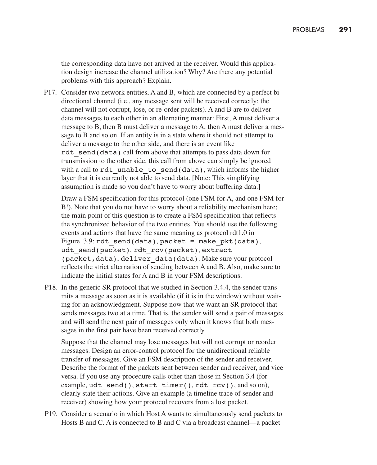the corresponding data have not arrived at the receiver. Would this application design increase the channel utilization? Why? Are there any potential problems with this approach? Explain.

P17. Consider two network entities, A and B, which are connected by a perfect bidirectional channel (i.e., any message sent will be received correctly; the channel will not corrupt, lose, or re-order packets). A and B are to deliver data messages to each other in an alternating manner: First, A must deliver a message to B, then B must deliver a message to A, then A must deliver a message to B and so on. If an entity is in a state where it should not attempt to deliver a message to the other side, and there is an event like rdt send(data) call from above that attempts to pass data down for transmission to the other side, this call from above can simply be ignored with a call to rdt unable to send(data), which informs the higher layer that it is currently not able to send data. [Note: This simplifying assumption is made so you don't have to worry about buffering data.]

Draw a FSM specification for this protocol (one FSM for A, and one FSM for B!). Note that you do not have to worry about a reliability mechanism here; the main point of this question is to create a FSM specification that reflects the synchronized behavior of the two entities. You should use the following events and actions that have the same meaning as protocol rdt1.0 in Figure 3.9:  $rdt$  send(data), packet = make pkt(data), udt send(packet), rdt rcv(packet), extract (packet,data), deliver\_data(data). Make sure your protocol reflects the strict alternation of sending between A and B. Also, make sure to indicate the initial states for A and B in your FSM descriptions.

P18. In the generic SR protocol that we studied in Section 3.4.4, the sender transmits a message as soon as it is available (if it is in the window) without waiting for an acknowledgment. Suppose now that we want an SR protocol that sends messages two at a time. That is, the sender will send a pair of messages and will send the next pair of messages only when it knows that both messages in the first pair have been received correctly.

Suppose that the channel may lose messages but will not corrupt or reorder messages. Design an error-control protocol for the unidirectional reliable transfer of messages. Give an FSM description of the sender and receiver. Describe the format of the packets sent between sender and receiver, and vice versa. If you use any procedure calls other than those in Section 3.4 (for example,  $udt$  send(), start timer(), rdt  $rcv()$ , and so on), clearly state their actions. Give an example (a timeline trace of sender and receiver) showing how your protocol recovers from a lost packet.

P19. Consider a scenario in which Host A wants to simultaneously send packets to Hosts B and C. A is connected to B and C via a broadcast channel—a packet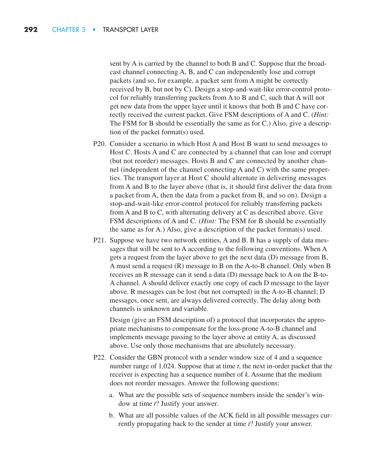sent by A is carried by the channel to both B and C. Suppose that the broadcast channel connecting A, B, and C can independently lose and corrupt packets (and so, for example, a packet sent from A might be correctly received by B, but not by C). Design a stop-and-wait-like error-control protocol for reliably transferring packets from A to B and C, such that A will not get new data from the upper layer until it knows that both B and C have correctly received the current packet. Give FSM descriptions of A and C. (*Hint:* The FSM for B should be essentially the same as for C.) Also, give a description of the packet format(s) used.

- P20. Consider a scenario in which Host A and Host B want to send messages to Host C. Hosts A and C are connected by a channel that can lose and corrupt (but not reorder) messages. Hosts B and C are connected by another channel (independent of the channel connecting A and C) with the same properties. The transport layer at Host C should alternate in delivering messages from A and B to the layer above (that is, it should first deliver the data from a packet from A, then the data from a packet from B, and so on). Design a stop-and-wait-like error-control protocol for reliably transferring packets from A and B to C, with alternating delivery at C as described above. Give FSM descriptions of A and C. (*Hint:* The FSM for B should be essentially the same as for A.) Also, give a description of the packet format(s) used.
- P21. Suppose we have two network entities, A and B. B has a supply of data messages that will be sent to A according to the following conventions. When A gets a request from the layer above to get the next data (D) message from B, A must send a request (R) message to B on the A-to-B channel. Only when B receives an R message can it send a data (D) message back to A on the B-to-A channel. A should deliver exactly one copy of each D message to the layer above. R messages can be lost (but not corrupted) in the A-to-B channel; D messages, once sent, are always delivered correctly. The delay along both channels is unknown and variable.

Design (give an FSM description of) a protocol that incorporates the appropriate mechanisms to compensate for the loss-prone A-to-B channel and implements message passing to the layer above at entity A, as discussed above. Use only those mechanisms that are absolutely necessary.

- P22. Consider the GBN protocol with a sender window size of 4 and a sequence number range of 1,024. Suppose that at time *t*, the next in-order packet that the receiver is expecting has a sequence number of *k*. Assume that the medium does not reorder messages. Answer the following questions:
	- a. What are the possible sets of sequence numbers inside the sender's window at time *t*? Justify your answer.
	- b. What are all possible values of the ACK field in all possible messages currently propagating back to the sender at time *t*? Justify your answer.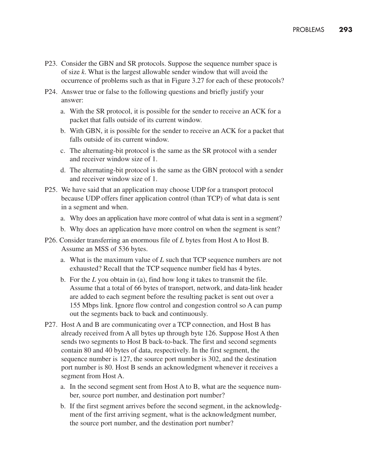- P23. Consider the GBN and SR protocols. Suppose the sequence number space is of size *k*. What is the largest allowable sender window that will avoid the occurrence of problems such as that in Figure 3.27 for each of these protocols?
- P24. Answer true or false to the following questions and briefly justify your answer:
	- a. With the SR protocol, it is possible for the sender to receive an ACK for a packet that falls outside of its current window.
	- b. With GBN, it is possible for the sender to receive an ACK for a packet that falls outside of its current window.
	- c. The alternating-bit protocol is the same as the SR protocol with a sender and receiver window size of 1.
	- d. The alternating-bit protocol is the same as the GBN protocol with a sender and receiver window size of 1.
- P25. We have said that an application may choose UDP for a transport protocol because UDP offers finer application control (than TCP) of what data is sent in a segment and when.
	- a. Why does an application have more control of what data is sent in a segment?
	- b. Why does an application have more control on when the segment is sent?
- P26. Consider transferring an enormous file of *L* bytes from Host A to Host B. Assume an MSS of 536 bytes.
	- a. What is the maximum value of *L* such that TCP sequence numbers are not exhausted? Recall that the TCP sequence number field has 4 bytes.
	- b. For the *L* you obtain in (a), find how long it takes to transmit the file. Assume that a total of 66 bytes of transport, network, and data-link header are added to each segment before the resulting packet is sent out over a 155 Mbps link. Ignore flow control and congestion control so A can pump out the segments back to back and continuously.
- P27. Host A and B are communicating over a TCP connection, and Host B has already received from A all bytes up through byte 126. Suppose Host A then sends two segments to Host B back-to-back. The first and second segments contain 80 and 40 bytes of data, respectively. In the first segment, the sequence number is 127, the source port number is 302, and the destination port number is 80. Host B sends an acknowledgment whenever it receives a segment from Host A.
	- a. In the second segment sent from Host A to B, what are the sequence number, source port number, and destination port number?
	- b. If the first segment arrives before the second segment, in the acknowledgment of the first arriving segment, what is the acknowledgment number, the source port number, and the destination port number?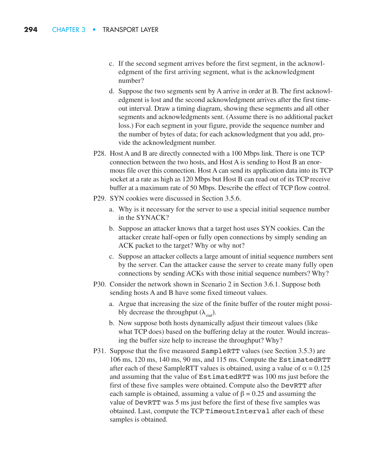- c. If the second segment arrives before the first segment, in the acknowledgment of the first arriving segment, what is the acknowledgment number?
- d. Suppose the two segments sent by A arrive in order at B. The first acknowledgment is lost and the second acknowledgment arrives after the first timeout interval. Draw a timing diagram, showing these segments and all other segments and acknowledgments sent. (Assume there is no additional packet loss.) For each segment in your figure, provide the sequence number and the number of bytes of data; for each acknowledgment that you add, provide the acknowledgment number.
- P28. Host A and B are directly connected with a 100 Mbps link. There is one TCP connection between the two hosts, and Host A is sending to Host B an enormous file over this connection. Host A can send its application data into its TCP socket at a rate as high as 120 Mbps but Host B can read out of its TCP receive buffer at a maximum rate of 50 Mbps. Describe the effect of TCP flow control.
- P29. SYN cookies were discussed in Section 3.5.6.
	- a. Why is it necessary for the server to use a special initial sequence number in the SYNACK?
	- b. Suppose an attacker knows that a target host uses SYN cookies. Can the attacker create half-open or fully open connections by simply sending an ACK packet to the target? Why or why not?
	- c. Suppose an attacker collects a large amount of initial sequence numbers sent by the server. Can the attacker cause the server to create many fully open connections by sending ACKs with those initial sequence numbers? Why?
- P30. Consider the network shown in Scenario 2 in Section 3.6.1. Suppose both sending hosts A and B have some fixed timeout values.
	- a. Argue that increasing the size of the finite buffer of the router might possibly decrease the throughput  $(\lambda_{out})$ .
	- b. Now suppose both hosts dynamically adjust their timeout values (like what TCP does) based on the buffering delay at the router. Would increasing the buffer size help to increase the throughput? Why?
- P31. Suppose that the five measured SampleRTT values (see Section 3.5.3) are 106 ms, 120 ms, 140 ms, 90 ms, and 115 ms. Compute the EstimatedRTT after each of these SampleRTT values is obtained, using a value of  $\alpha = 0.125$ and assuming that the value of EstimatedRTT was 100 ms just before the first of these five samples were obtained. Compute also the DevRTT after each sample is obtained, assuming a value of  $\beta = 0.25$  and assuming the value of DevRTT was 5 ms just before the first of these five samples was obtained. Last, compute the TCP TimeoutInterval after each of these samples is obtained.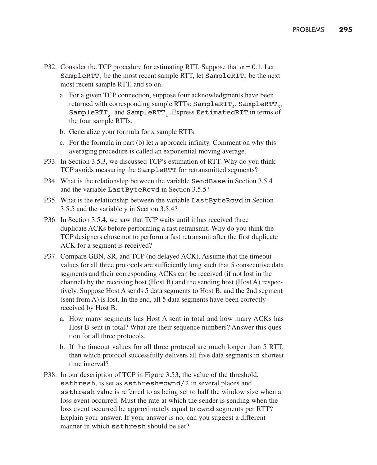- P32. Consider the TCP procedure for estimating RTT. Suppose that  $\alpha = 0.1$ . Let SampleRTT<sub>1</sub> be the most recent sample RTT, let SampleRTT<sub>2</sub> be the next most recent sample RTT, and so on.
	- a. For a given TCP connection, suppose four acknowledgments have been returned with corresponding sample RTTs:  $SamplerTT_{4}$ ,  $SamplerTT_{3}$ , SampleRTT<sub>2</sub>, and SampleRTT<sub>1</sub>. Express EstimatedRTT in terms of the four sample RTTs.
	- b. Generalize your formula for *n* sample RTTs.
	- c. For the formula in part (b) let *n* approach infinity. Comment on why this averaging procedure is called an exponential moving average.
- P33. In Section 3.5.3, we discussed TCP's estimation of RTT. Why do you think TCP avoids measuring the SampleRTT for retransmitted segments?
- P34. What is the relationship between the variable SendBase in Section 3.5.4 and the variable LastByteRcvd in Section 3.5.5?
- P35. What is the relationship between the variable LastByteRcvd in Section 3.5.5 and the variable y in Section 3.5.4?
- P36. In Section 3.5.4, we saw that TCP waits until it has received three duplicate ACKs before performing a fast retransmit. Why do you think the TCP designers chose not to perform a fast retransmit after the first duplicate ACK for a segment is received?
- P37. Compare GBN, SR, and TCP (no delayed ACK). Assume that the timeout values for all three protocols are sufficiently long such that 5 consecutive data segments and their corresponding ACKs can be received (if not lost in the channel) by the receiving host (Host B) and the sending host (Host A) respectively. Suppose Host A sends 5 data segments to Host B, and the 2nd segment (sent from A) is lost. In the end, all 5 data segments have been correctly received by Host B.
	- a. How many segments has Host A sent in total and how many ACKs has Host B sent in total? What are their sequence numbers? Answer this question for all three protocols.
	- b. If the timeout values for all three protocol are much longer than 5 RTT, then which protocol successfully delivers all five data segments in shortest time interval?
- P38. In our description of TCP in Figure 3.53, the value of the threshold, ssthresh, is set as ssthresh=cwnd/2 in several places and ssthresh value is referred to as being set to half the window size when a loss event occurred. Must the rate at which the sender is sending when the loss event occurred be approximately equal to cwnd segments per RTT? Explain your answer. If your answer is no, can you suggest a different manner in which ssthresh should be set?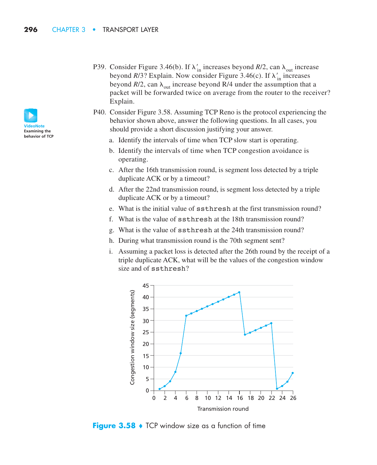- P39. Consider Figure 3.46(b). If  $\lambda'_{in}$  increases beyond *R*/2, can  $\lambda_{out}$  increase beyond *R*/3? Explain. Now consider Figure 3.46(c). If  $\lambda'_{in}$  increases beyond  $R/2$ , can  $\lambda_{\text{out}}$  increase beyond R/4 under the assumption that a packet will be forwarded twice on average from the router to the receiver? Explain.
- P40. Consider Figure 3.58. Assuming TCP Reno is the protocol experiencing the behavior shown above, answer the following questions. In all cases, you should provide a short discussion justifying your answer.
	- a. Identify the intervals of time when TCP slow start is operating.
	- b. Identify the intervals of time when TCP congestion avoidance is operating.
	- c. After the 16th transmission round, is segment loss detected by a triple duplicate ACK or by a timeout?
	- d. After the 22nd transmission round, is segment loss detected by a triple duplicate ACK or by a timeout?
	- e. What is the initial value of ssthresh at the first transmission round?
	- f. What is the value of ssthresh at the 18th transmission round?
	- g. What is the value of ssthresh at the 24th transmission round?
	- h. During what transmission round is the 70th segment sent?
	- i. Assuming a packet loss is detected after the 26th round by the receipt of a triple duplicate ACK, what will be the values of the congestion window size and of ssthresh?



**Figure 3.58**  $\bullet$  TCP window size as a function of time

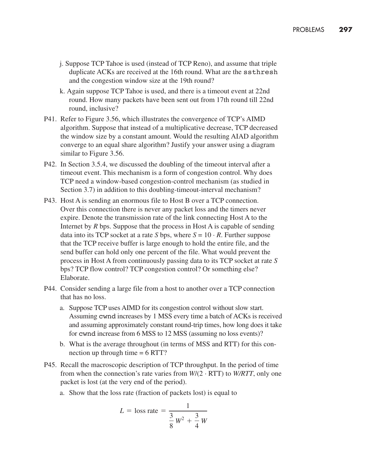- j. Suppose TCP Tahoe is used (instead of TCP Reno), and assume that triple duplicate ACKs are received at the 16th round. What are the ssthresh and the congestion window size at the 19th round?
- k. Again suppose TCP Tahoe is used, and there is a timeout event at 22nd round. How many packets have been sent out from 17th round till 22nd round, inclusive?
- P41. Refer to Figure 3.56, which illustrates the convergence of TCP's AIMD algorithm. Suppose that instead of a multiplicative decrease, TCP decreased the window size by a constant amount. Would the resulting AIAD algorithm converge to an equal share algorithm? Justify your answer using a diagram similar to Figure 3.56.
- P42. In Section 3.5.4, we discussed the doubling of the timeout interval after a timeout event. This mechanism is a form of congestion control. Why does TCP need a window-based congestion-control mechanism (as studied in Section 3.7) in addition to this doubling-timeout-interval mechanism?
- P43. Host A is sending an enormous file to Host B over a TCP connection. Over this connection there is never any packet loss and the timers never expire. Denote the transmission rate of the link connecting Host A to the Internet by *R* bps. Suppose that the process in Host A is capable of sending data into its TCP socket at a rate *S* bps, where  $S = 10 \cdot R$ . Further suppose that the TCP receive buffer is large enough to hold the entire file, and the send buffer can hold only one percent of the file. What would prevent the process in Host A from continuously passing data to its TCP socket at rate *S* bps? TCP flow control? TCP congestion control? Or something else? Elaborate.
- P44. Consider sending a large file from a host to another over a TCP connection that has no loss.
	- a. Suppose TCP uses AIMD for its congestion control without slow start. Assuming cwnd increases by 1 MSS every time a batch of ACKs is received and assuming approximately constant round-trip times, how long does it take for cwnd increase from 6 MSS to 12 MSS (assuming no loss events)?
	- b. What is the average throughout (in terms of MSS and RTT) for this connection up through time  $= 6$  RTT?
- P45. Recall the macroscopic description of TCP throughput. In the period of time from when the connection's rate varies from  $W/(2 \cdot RTT)$  to  $W/RTT$ , only one packet is lost (at the very end of the period).
	- a. Show that the loss rate (fraction of packets lost) is equal to

$$
L = \text{loss rate} = \frac{1}{\frac{3}{8}W^2 + \frac{3}{4}W}
$$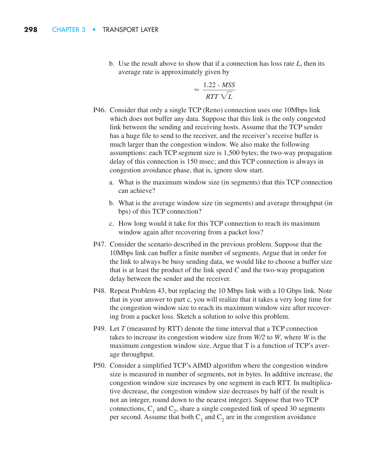b. Use the result above to show that if a connection has loss rate *L*, then its average rate is approximately given by

$$
\approx \frac{1.22 \cdot \text{MSS}}{RTT \sqrt{L}}
$$

- P46. Consider that only a single TCP (Reno) connection uses one 10Mbps link which does not buffer any data. Suppose that this link is the only congested link between the sending and receiving hosts. Assume that the TCP sender has a huge file to send to the receiver, and the receiver's receive buffer is much larger than the congestion window. We also make the following assumptions: each TCP segment size is 1,500 bytes; the two-way propagation delay of this connection is 150 msec; and this TCP connection is always in congestion avoidance phase, that is, ignore slow start.
	- a. What is the maximum window size (in segments) that this TCP connection can achieve?
	- b. What is the average window size (in segments) and average throughput (in bps) of this TCP connection?
	- c. How long would it take for this TCP connection to reach its maximum window again after recovering from a packet loss?
- P47. Consider the scenario described in the previous problem. Suppose that the 10Mbps link can buffer a finite number of segments. Argue that in order for the link to always be busy sending data, we would like to choose a buffer size that is at least the product of the link speed *C* and the two-way propagation delay between the sender and the receiver.
- P48. Repeat Problem 43, but replacing the 10 Mbps link with a 10 Gbps link. Note that in your answer to part c, you will realize that it takes a very long time for the congestion window size to reach its maximum window size after recovering from a packet loss. Sketch a solution to solve this problem.
- P49. Let *T* (measured by RTT) denote the time interval that a TCP connection takes to increase its congestion window size from *W/2* to *W*, where *W* is the maximum congestion window size. Argue that T is a function of TCP's average throughput.
- P50. Consider a simplified TCP's AIMD algorithm where the congestion window size is measured in number of segments, not in bytes. In additive increase, the congestion window size increases by one segment in each RTT. In multiplicative decrease, the congestion window size decreases by half (if the result is not an integer, round down to the nearest integer). Suppose that two TCP connections,  $C_1$  and  $C_2$ , share a single congested link of speed 30 segments per second. Assume that both  $C_1$  and  $C_2$  are in the congestion avoidance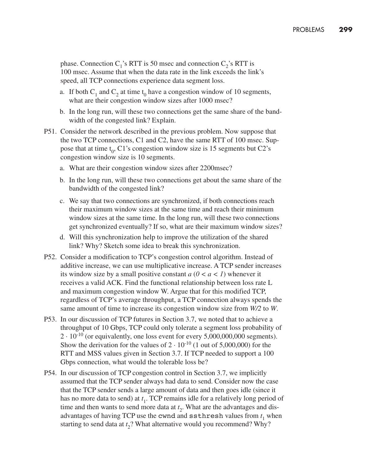phase. Connection  $C_1$ 's RTT is 50 msec and connection  $C_2$ 's RTT is 100 msec. Assume that when the data rate in the link exceeds the link's speed, all TCP connections experience data segment loss.

- a. If both  $C_1$  and  $C_2$  at time t<sub>0</sub> have a congestion window of 10 segments, what are their congestion window sizes after 1000 msec?
- b. In the long run, will these two connections get the same share of the bandwidth of the congested link? Explain.
- P51. Consider the network described in the previous problem. Now suppose that the two TCP connections, C1 and C2, have the same RTT of 100 msec. Suppose that at time  $t_0$ , C1's congestion window size is 15 segments but C2's congestion window size is 10 segments.
	- a. What are their congestion window sizes after 2200msec?
	- b. In the long run, will these two connections get about the same share of the bandwidth of the congested link?
	- c. We say that two connections are synchronized, if both connections reach their maximum window sizes at the same time and reach their minimum window sizes at the same time. In the long run, will these two connections get synchronized eventually? If so, what are their maximum window sizes?
	- d. Will this synchronization help to improve the utilization of the shared link? Why? Sketch some idea to break this synchronization.
- P52. Consider a modification to TCP's congestion control algorithm. Instead of additive increase, we can use multiplicative increase. A TCP sender increases its window size by a small positive constant *a* (*0 < a < 1*) whenever it receives a valid ACK. Find the functional relationship between loss rate L and maximum congestion window W. Argue that for this modified TCP, regardless of TCP's average throughput, a TCP connection always spends the same amount of time to increase its congestion window size from *W/2* to *W*.
- P53. In our discussion of TCP futures in Section 3.7, we noted that to achieve a throughput of 10 Gbps, TCP could only tolerate a segment loss probability of  $2 \cdot 10^{-10}$  (or equivalently, one loss event for every 5,000,000,000 segments). Show the derivation for the values of  $2 \cdot 10^{-10}$  (1 out of 5,000,000) for the RTT and MSS values given in Section 3.7. If TCP needed to support a 100 Gbps connection, what would the tolerable loss be?
- P54. In our discussion of TCP congestion control in Section 3.7, we implicitly assumed that the TCP sender always had data to send. Consider now the case that the TCP sender sends a large amount of data and then goes idle (since it has no more data to send) at *t* 1. TCP remains idle for a relatively long period of time and then wants to send more data at *t* 2. What are the advantages and disadvantages of having TCP use the  $\mathsf{cwnd}$  and  $\mathsf{ssthresh}$  values from  $t_1$  when starting to send data at *t* 2? What alternative would you recommend? Why?